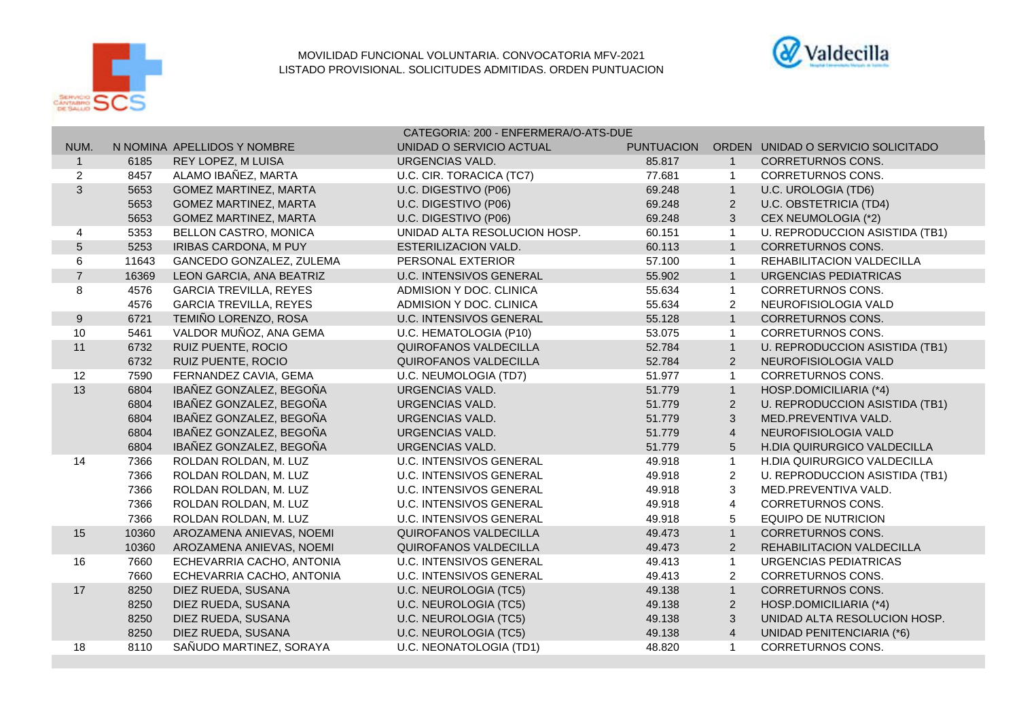

## MOVILIDAD FUNCIONAL VOLUNTARIA. CONVOCATORIA MFV-2021 LISTADO PROVISIONAL. SOLICITUDES ADMITIDAS. ORDEN PUNTUACION



|                  |       |                               | CATEGORIA: 200 - ENFERMERA/O-ATS-DUE |                   |                |                                    |  |
|------------------|-------|-------------------------------|--------------------------------------|-------------------|----------------|------------------------------------|--|
| NUM.             |       | N NOMINA APELLIDOS Y NOMBRE   | UNIDAD O SERVICIO ACTUAL             | <b>PUNTUACION</b> |                | ORDEN UNIDAD O SERVICIO SOLICITADO |  |
| $\mathbf{1}$     | 6185  | REY LOPEZ, M LUISA            | <b>URGENCIAS VALD.</b>               | 85.817            | $\overline{1}$ | <b>CORRETURNOS CONS.</b>           |  |
| $\overline{c}$   | 8457  | ALAMO IBAÑEZ, MARTA           | U.C. CIR. TORACICA (TC7)             | 77.681            | $\overline{1}$ | <b>CORRETURNOS CONS.</b>           |  |
| 3                | 5653  | <b>GOMEZ MARTINEZ, MARTA</b>  | U.C. DIGESTIVO (P06)                 | 69.248            | $\overline{1}$ | U.C. UROLOGIA (TD6)                |  |
|                  | 5653  | <b>GOMEZ MARTINEZ, MARTA</b>  | U.C. DIGESTIVO (P06)                 | 69.248            | $\overline{2}$ | <b>U.C. OBSTETRICIA (TD4)</b>      |  |
|                  | 5653  | <b>GOMEZ MARTINEZ, MARTA</b>  | U.C. DIGESTIVO (P06)                 | 69.248            | 3              | CEX NEUMOLOGIA (*2)                |  |
| 4                | 5353  | BELLON CASTRO, MONICA         | UNIDAD ALTA RESOLUCION HOSP.         | 60.151            | $\overline{1}$ | U. REPRODUCCION ASISTIDA (TB1)     |  |
| 5                | 5253  | IRIBAS CARDONA, M PUY         | <b>ESTERILIZACION VALD.</b>          | 60.113            | $\overline{1}$ | <b>CORRETURNOS CONS.</b>           |  |
| 6                | 11643 | GANCEDO GONZALEZ, ZULEMA      | PERSONAL EXTERIOR                    | 57.100            | $\overline{1}$ | REHABILITACION VALDECILLA          |  |
| $\overline{7}$   | 16369 | LEON GARCIA, ANA BEATRIZ      | <b>U.C. INTENSIVOS GENERAL</b>       | 55.902            | $\overline{1}$ | URGENCIAS PEDIATRICAS              |  |
| 8                | 4576  | <b>GARCIA TREVILLA, REYES</b> | ADMISION Y DOC, CLINICA              | 55.634            | $\overline{1}$ | <b>CORRETURNOS CONS.</b>           |  |
|                  | 4576  | <b>GARCIA TREVILLA, REYES</b> | ADMISION Y DOC. CLINICA              | 55.634            | $\overline{2}$ | NEUROFISIOLOGIA VALD               |  |
| $\boldsymbol{9}$ | 6721  | TEMIÑO LORENZO, ROSA          | <b>U.C. INTENSIVOS GENERAL</b>       | 55.128            | $\overline{1}$ | <b>CORRETURNOS CONS.</b>           |  |
| 10               | 5461  | VALDOR MUÑOZ, ANA GEMA        | U.C. HEMATOLOGIA (P10)               | 53.075            | $\overline{1}$ | <b>CORRETURNOS CONS.</b>           |  |
| 11               | 6732  | RUIZ PUENTE, ROCIO            | <b>QUIROFANOS VALDECILLA</b>         | 52.784            | $\overline{1}$ | U. REPRODUCCION ASISTIDA (TB1)     |  |
|                  | 6732  | RUIZ PUENTE, ROCIO            | <b>QUIROFANOS VALDECILLA</b>         | 52.784            | 2              | NEUROFISIOLOGIA VALD               |  |
| 12               | 7590  | FERNANDEZ CAVIA, GEMA         | U.C. NEUMOLOGIA (TD7)                | 51.977            | $\overline{1}$ | CORRETURNOS CONS.                  |  |
| 13               | 6804  | IBAÑEZ GONZALEZ, BEGOÑA       | <b>URGENCIAS VALD.</b>               | 51.779            | $\overline{1}$ | HOSP.DOMICILIARIA (*4)             |  |
|                  | 6804  | IBAÑEZ GONZALEZ, BEGOÑA       | URGENCIAS VALD.                      | 51.779            | $\overline{2}$ | U. REPRODUCCION ASISTIDA (TB1)     |  |
|                  | 6804  | IBAÑEZ GONZALEZ, BEGOÑA       | URGENCIAS VALD.                      | 51.779            | 3              | MED.PREVENTIVA VALD.               |  |
|                  | 6804  | IBAÑEZ GONZALEZ, BEGOÑA       | <b>URGENCIAS VALD.</b>               | 51.779            | $\overline{4}$ | NEUROFISIOLOGIA VALD               |  |
|                  | 6804  | IBAÑEZ GONZALEZ, BEGOÑA       | <b>URGENCIAS VALD.</b>               | 51.779            | 5              | H.DIA QUIRURGICO VALDECILLA        |  |
| 14               | 7366  | ROLDAN ROLDAN, M. LUZ         | <b>U.C. INTENSIVOS GENERAL</b>       | 49.918            | $\overline{1}$ | H.DIA QUIRURGICO VALDECILLA        |  |
|                  | 7366  | ROLDAN ROLDAN, M. LUZ         | <b>U.C. INTENSIVOS GENERAL</b>       | 49.918            | $\overline{2}$ | U. REPRODUCCION ASISTIDA (TB1)     |  |
|                  | 7366  | ROLDAN ROLDAN, M. LUZ         | <b>U.C. INTENSIVOS GENERAL</b>       | 49.918            | 3              | MED.PREVENTIVA VALD.               |  |
|                  | 7366  | ROLDAN ROLDAN, M. LUZ         | <b>U.C. INTENSIVOS GENERAL</b>       | 49.918            | 4              | CORRETURNOS CONS.                  |  |
|                  | 7366  | ROLDAN ROLDAN, M. LUZ         | <b>U.C. INTENSIVOS GENERAL</b>       | 49.918            | 5              | <b>EQUIPO DE NUTRICION</b>         |  |
| 15               | 10360 | AROZAMENA ANIEVAS, NOEMI      | QUIROFANOS VALDECILLA                | 49.473            | $\mathbf{1}$   | <b>CORRETURNOS CONS.</b>           |  |
|                  | 10360 | AROZAMENA ANIEVAS, NOEMI      | QUIROFANOS VALDECILLA                | 49.473            | 2              | REHABILITACION VALDECILLA          |  |
| 16               | 7660  | ECHEVARRIA CACHO, ANTONIA     | U.C. INTENSIVOS GENERAL              | 49.413            | $\overline{1}$ | URGENCIAS PEDIATRICAS              |  |
|                  | 7660  | ECHEVARRIA CACHO, ANTONIA     | <b>U.C. INTENSIVOS GENERAL</b>       | 49.413            | $\overline{2}$ | CORRETURNOS CONS.                  |  |
| 17               | 8250  | DIEZ RUEDA, SUSANA            | U.C. NEUROLOGIA (TC5)                | 49.138            | $\mathbf{1}$   | <b>CORRETURNOS CONS.</b>           |  |
|                  | 8250  | DIEZ RUEDA, SUSANA            | U.C. NEUROLOGIA (TC5)                | 49.138            | 2              | HOSP.DOMICILIARIA (*4)             |  |
|                  | 8250  | DIEZ RUEDA, SUSANA            | U.C. NEUROLOGIA (TC5)                | 49.138            | 3              | UNIDAD ALTA RESOLUCION HOSP.       |  |
|                  | 8250  | DIEZ RUEDA, SUSANA            | U.C. NEUROLOGIA (TC5)                | 49.138            | $\overline{4}$ | UNIDAD PENITENCIARIA (*6)          |  |
| 18               | 8110  | SAÑUDO MARTINEZ, SORAYA       | U.C. NEONATOLOGIA (TD1)              | 48.820            | $\overline{1}$ | <b>CORRETURNOS CONS.</b>           |  |
|                  |       |                               |                                      |                   |                |                                    |  |